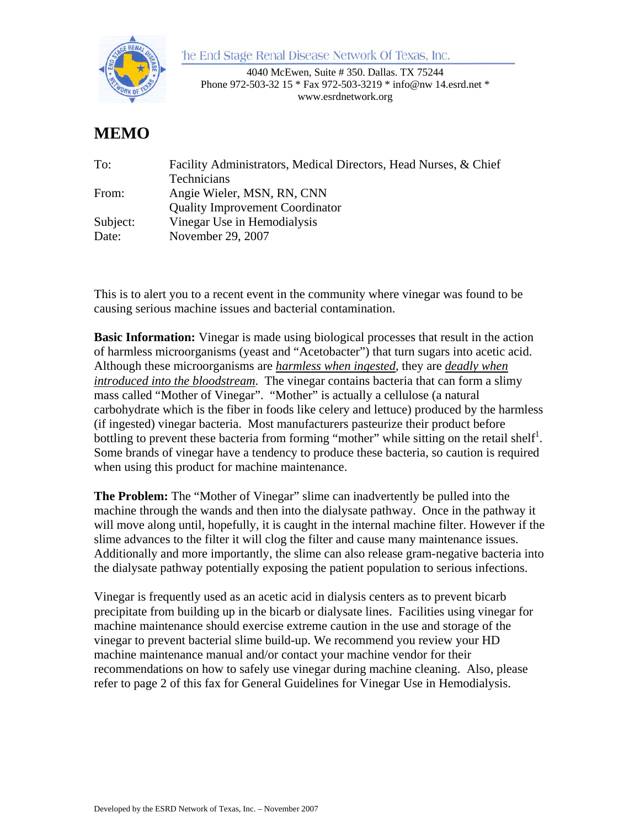the End Stage Renal Disease Network Of Texas, Inc.



4040 McEwen, Suite # 350. Dallas. TX 75244 Phone 972-503-32 15 \* Fax 972-503-3219 \* info@nw 14.esrd.net \* www.esrdnetwork.org

## **MEMO**

| Facility Administrators, Medical Directors, Head Nurses, & Chief |
|------------------------------------------------------------------|
| Technicians                                                      |
| Angie Wieler, MSN, RN, CNN                                       |
| <b>Quality Improvement Coordinator</b>                           |
| Vinegar Use in Hemodialysis                                      |
| November 29, 2007                                                |
|                                                                  |

This is to alert you to a recent event in the community where vinegar was found to be causing serious machine issues and bacterial contamination.

**Basic Information:** Vinegar is made using biological processes that result in the action of harmless microorganisms (yeast and "Acetobacter") that turn sugars into acetic acid. Although these microorganisms are *harmless when ingested*, they are *deadly when introduced into the bloodstream*. The vinegar contains bacteria that can form a slimy mass called "Mother of Vinegar". "Mother" is actually a cellulose (a natural carbohydrate which is the fiber in foods like celery and lettuce) produced by the harmless (if ingested) vinegar bacteria. Most manufacturers pasteurize their product before bottling to prevent these bacteria from forming "mother" while sitting on the retail shelf<sup>1</sup>. Some brands of vinegar have a tendency to produce these bacteria, so caution is required when using this product for machine maintenance.

**The Problem:** The "Mother of Vinegar" slime can inadvertently be pulled into the machine through the wands and then into the dialysate pathway. Once in the pathway it will move along until, hopefully, it is caught in the internal machine filter. However if the slime advances to the filter it will clog the filter and cause many maintenance issues. Additionally and more importantly, the slime can also release gram-negative bacteria into the dialysate pathway potentially exposing the patient population to serious infections.

Vinegar is frequently used as an acetic acid in dialysis centers as to prevent bicarb precipitate from building up in the bicarb or dialysate lines. Facilities using vinegar for machine maintenance should exercise extreme caution in the use and storage of the vinegar to prevent bacterial slime build-up. We recommend you review your HD machine maintenance manual and/or contact your machine vendor for their recommendations on how to safely use vinegar during machine cleaning. Also, please refer to page 2 of this fax for General Guidelines for Vinegar Use in Hemodialysis.